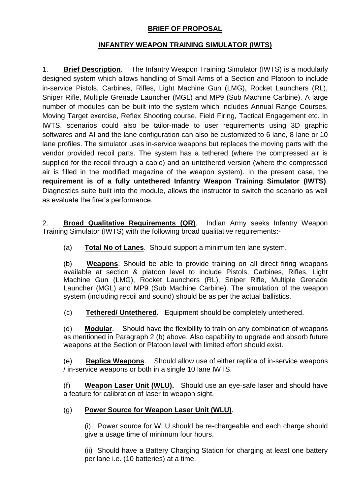## **BRIEF OF PROPOSAL**

## **INFANTRY WEAPON TRAINING SIMULATOR (IWTS)**

1. **Brief Description**. The Infantry Weapon Training Simulator (IWTS) is a modularly designed system which allows handling of Small Arms of a Section and Platoon to include in-service Pistols, Carbines, Rifles, Light Machine Gun (LMG), Rocket Launchers (RL), Sniper Rifle, Multiple Grenade Launcher (MGL) and MP9 (Sub Machine Carbine). A large number of modules can be built into the system which includes Annual Range Courses, Moving Target exercise, Reflex Shooting course, Field Firing, Tactical Engagement etc. In IWTS, scenarios could also be tailor-made to user requirements using 3D graphic softwares and AI and the lane configuration can also be customized to 6 lane, 8 lane or 10 lane profiles. The simulator uses in-service weapons but replaces the moving parts with the vendor provided recoil parts. The system has a tethered (where the compressed air is supplied for the recoil through a cable) and an untethered version (where the compressed air is filled in the modified magazine of the weapon system). In the present case, the **requirement is of a fully untethered Infantry Weapon Training Simulator (IWTS)**. Diagnostics suite built into the module, allows the instructor to switch the scenario as well as evaluate the firer's performance.

2. **Broad Qualitative Requirements (QR)**. Indian Army seeks Infantry Weapon Training Simulator (IWTS) with the following broad qualitative requirements:-

(a) **Total No of Lanes**. Should support a minimum ten lane system.

(b) **Weapons**. Should be able to provide training on all direct firing weapons available at section & platoon level to include Pistols, Carbines, Rifles, Light Machine Gun (LMG), Rocket Launchers (RL), Sniper Rifle, Multiple Grenade Launcher (MGL) and MP9 (Sub Machine Carbine). The simulation of the weapon system (including recoil and sound) should be as per the actual ballistics.

(c) **Tethered/ Untethered.** Equipment should be completely untethered.

(d) **Modular**. Should have the flexibility to train on any combination of weapons as mentioned in Paragraph 2 (b) above. Also capability to upgrade and absorb future weapons at the Section or Platoon level with limited effort should exist.

(e) **Replica Weapons**.Should allow use of either replica of in-service weapons / in-service weapons or both in a single 10 lane IWTS.

(f) **Weapon Laser Unit (WLU).** Should use an eye-safe laser and should have a feature for calibration of laser to weapon sight.

## (g) **Power Source for Weapon Laser Unit (WLU)**.

(i) Power source for WLU should be re-chargeable and each charge should give a usage time of minimum four hours.

(ii) Should have a Battery Charging Station for charging at least one battery per lane i.e. (10 batteries) at a time.